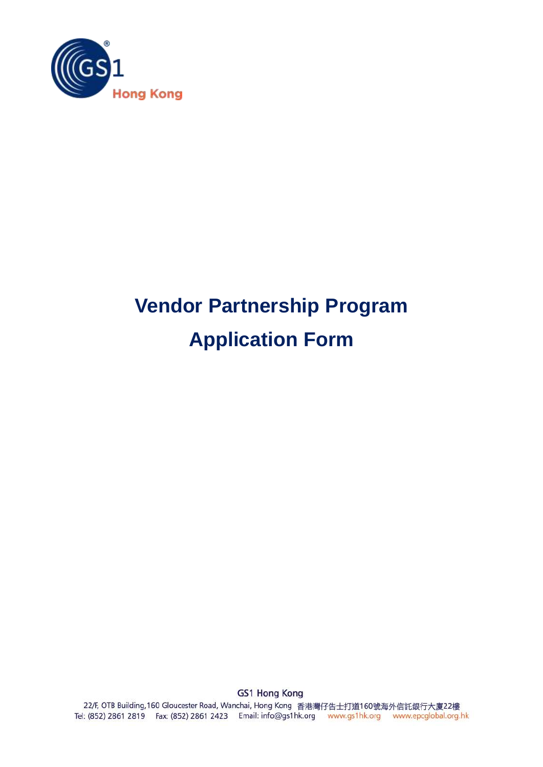

# **Vendor Partnership Program Application Form**

**GS1 Hong Kong** 22/F, OTB Building, 160 Gloucester Road, Wanchai, Hong Kong 香港灣仔告士打道160號海外信託銀行大廈22樓 Tel: (852) 2861 2819 Fax: (852) 2861 2423 Email: info@gs1hk.org www.gs1hk.org www.epcglobal.org.hk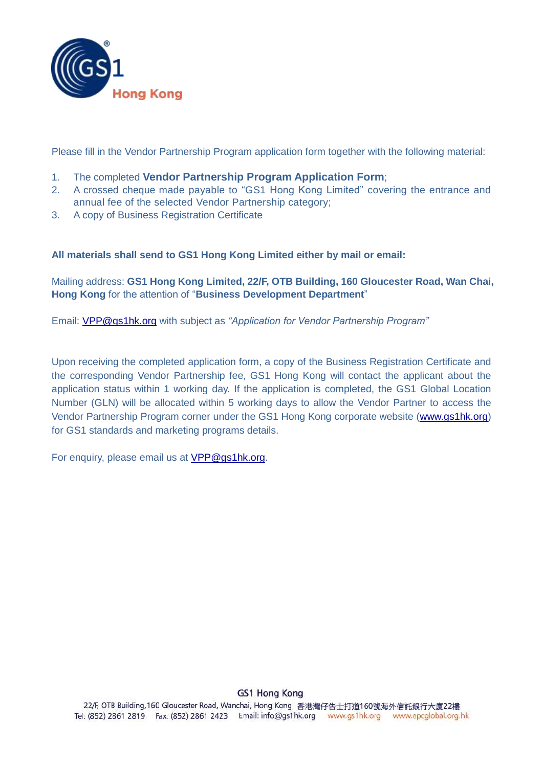

Please fill in the Vendor Partnership Program application form together with the following material:

- 1. The completed **Vendor Partnership Program Application Form**;
- 2. A crossed cheque made payable to "GS1 Hong Kong Limited" covering the entrance and annual fee of the selected Vendor Partnership category;
- 3. A copy of Business Registration Certificate

#### **All materials shall send to GS1 Hong Kong Limited either by mail or email:**

Mailing address: **GS1 Hong Kong Limited, 22/F, OTB Building, 160 Gloucester Road, Wan Chai, Hong Kong** for the attention of "**Business Development Department**"

Email: [VPP@gs1hk.org](mailto:VPP@gs1hk.org) with subject as *"Application for Vendor Partnership Program"*

Upon receiving the completed application form, a copy of the Business Registration Certificate and the corresponding Vendor Partnership fee, GS1 Hong Kong will contact the applicant about the application status within 1 working day. If the application is completed, the GS1 Global Location Number (GLN) will be allocated within 5 working days to allow the Vendor Partner to access the Vendor Partnership Program corner under the GS1 Hong Kong corporate website [\(www.gs1hk.org\)](http://www.gs1hk.org/) for GS1 standards and marketing programs details.

For enquiry, please email us at [VPP@gs1hk.org.](mailto:VPP@gs1hk.org)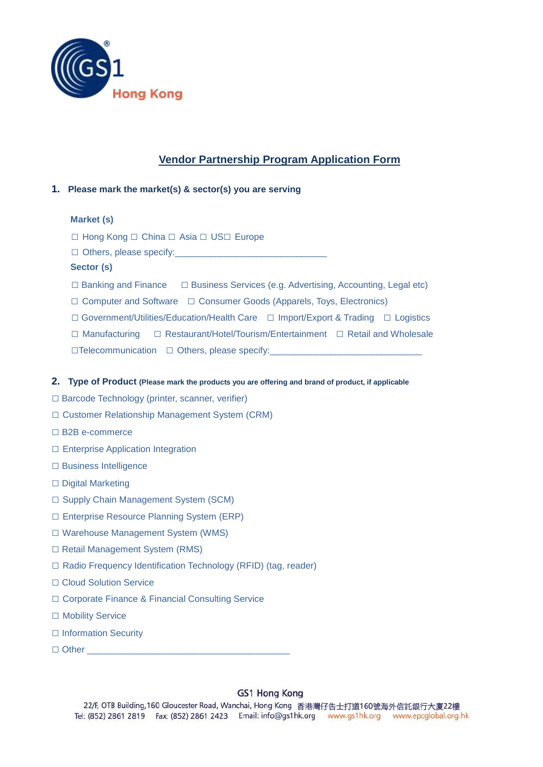

# **Vendor Partnership Program Application Form**

#### **1. Please mark the market(s) & sector(s) you are serving**

#### **Market (s)**

□ Hong Kong □ China □ Asia □ US□ Europe

 $\Box$  Others, please specify:

#### **Sector (s)**

- □ Banking and Finance □ Business Services (e.g. Advertising, Accounting, Legal etc)
- □ Computer and Software □ Consumer Goods (Apparels, Toys, Electronics)
- □ Government/Utilities/Education/Health Care □ Import/Export & Trading □ Logistics

□ Manufacturing □ Restaurant/Hotel/Tourism/Entertainment □ Retail and Wholesale

□Telecommunication □ Others, please specify:

#### **2. Type of Product (Please mark the products you are offering and brand of product, if applicable**

- □ Barcode Technology (printer, scanner, verifier)
- □ Customer Relationship Management System (CRM)
- □ B2B e-commerce
- □ Enterprise Application Integration
- □ Business Intelligence
- □ Digital Marketing
- □ Supply Chain Management System (SCM)
- □ Enterprise Resource Planning System (ERP)
- □ Warehouse Management System (WMS)
- □ Retail Management System (RMS)
- □ Radio Frequency Identification Technology (RFID) (tag, reader)
- □ Cloud Solution Service
- □ Corporate Finance & Financial Consulting Service
- □ Mobility Service
- □ Information Security
- $\Box$  Other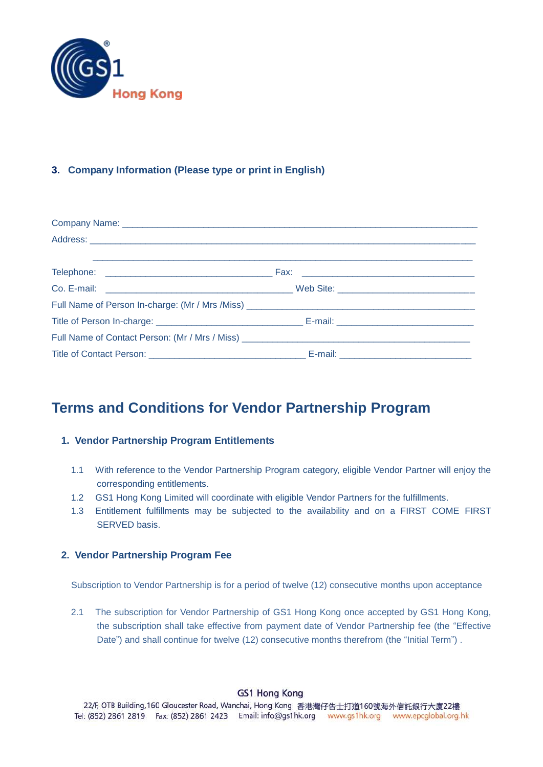

### **3. Company Information (Please type or print in English)**

# **Terms and Conditions for Vendor Partnership Program**

#### **1. Vendor Partnership Program Entitlements**

- 1.1 With reference to the Vendor Partnership Program category, eligible Vendor Partner will enjoy the corresponding entitlements.
- 1.2 GS1 Hong Kong Limited will coordinate with eligible Vendor Partners for the fulfillments.
- 1.3 Entitlement fulfillments may be subjected to the availability and on a FIRST COME FIRST SERVED basis.

#### **2. Vendor Partnership Program Fee**

Subscription to Vendor Partnership is for a period of twelve (12) consecutive months upon acceptance

2.1 The subscription for Vendor Partnership of GS1 Hong Kong once accepted by GS1 Hong Kong, the subscription shall take effective from payment date of Vendor Partnership fee (the "Effective Date") and shall continue for twelve (12) consecutive months therefrom (the "Initial Term").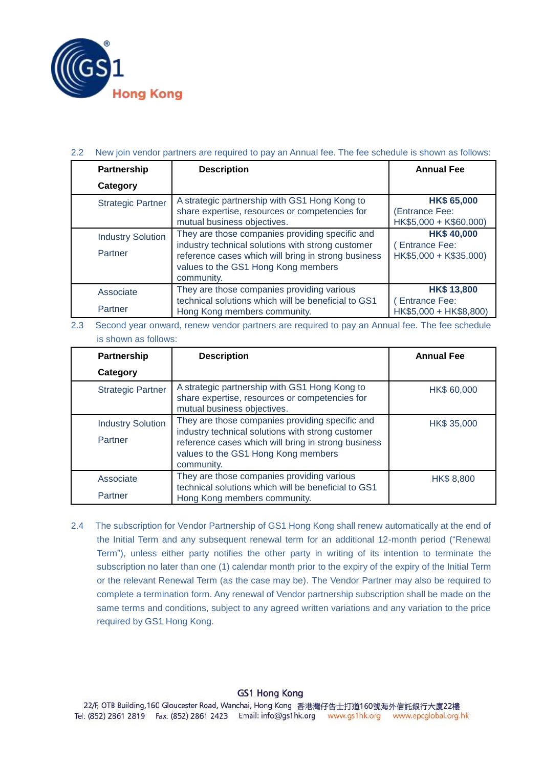

#### 2.2 New join vendor partners are required to pay an Annual fee. The fee schedule is shown as follows:

| <b>Partnership</b>                  | <b>Description</b>                                                                                                                                                                                               | <b>Annual Fee</b>                                                   |  |  |
|-------------------------------------|------------------------------------------------------------------------------------------------------------------------------------------------------------------------------------------------------------------|---------------------------------------------------------------------|--|--|
| Category                            |                                                                                                                                                                                                                  |                                                                     |  |  |
| <b>Strategic Partner</b>            | A strategic partnership with GS1 Hong Kong to<br>share expertise, resources or competencies for<br>mutual business objectives.                                                                                   | <b>HK\$ 65,000</b><br>(Entrance Fee:<br>HK\$5,000 + K\$60,000)      |  |  |
| <b>Industry Solution</b><br>Partner | They are those companies providing specific and<br>industry technical solutions with strong customer<br>reference cases which will bring in strong business<br>values to the GS1 Hong Kong members<br>community. | <b>HK\$40,000</b><br>(Entrance Fee:<br>HK\$5,000 + K\$35,000)       |  |  |
| Associate<br>Partner                | They are those companies providing various<br>technical solutions which will be beneficial to GS1<br>Hong Kong members community.                                                                                | <b>HK\$13,800</b><br><b>Entrance Fee:</b><br>HK\$5,000 + HK\$8,800) |  |  |

2.3 Second year onward, renew vendor partners are required to pay an Annual fee. The fee schedule is shown as follows:

| Partnership                         | <b>Description</b>                                                                                                                                                                                               | <b>Annual Fee</b> |  |  |
|-------------------------------------|------------------------------------------------------------------------------------------------------------------------------------------------------------------------------------------------------------------|-------------------|--|--|
| Category                            |                                                                                                                                                                                                                  |                   |  |  |
| <b>Strategic Partner</b>            | A strategic partnership with GS1 Hong Kong to<br>share expertise, resources or competencies for<br>mutual business objectives.                                                                                   | HK\$ 60,000       |  |  |
| <b>Industry Solution</b><br>Partner | They are those companies providing specific and<br>industry technical solutions with strong customer<br>reference cases which will bring in strong business<br>values to the GS1 Hong Kong members<br>community. | HK\$ 35,000       |  |  |
| Associate<br>Partner                | They are those companies providing various<br>technical solutions which will be beneficial to GS1<br>Hong Kong members community.                                                                                | <b>HK\$8,800</b>  |  |  |

2.4 The subscription for Vendor Partnership of GS1 Hong Kong shall renew automatically at the end of the Initial Term and any subsequent renewal term for an additional 12-month period ("Renewal Term"), unless either party notifies the other party in writing of its intention to terminate the subscription no later than one (1) calendar month prior to the expiry of the expiry of the Initial Term or the relevant Renewal Term (as the case may be). The Vendor Partner may also be required to complete a termination form. Any renewal of Vendor partnership subscription shall be made on the same terms and conditions, subject to any agreed written variations and any variation to the price required by GS1 Hong Kong.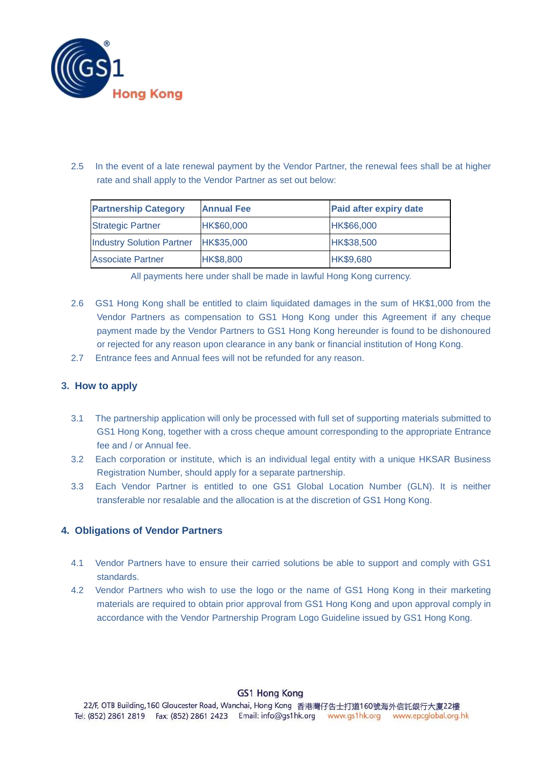

2.5 In the event of a late renewal payment by the Vendor Partner, the renewal fees shall be at higher rate and shall apply to the Vendor Partner as set out below:

| <b>Partnership Category</b>          | <b>Annual Fee</b> | <b>Paid after expiry date</b> |
|--------------------------------------|-------------------|-------------------------------|
| <b>Strategic Partner</b>             | HK\$60,000        | HK\$66,000                    |
| Industry Solution Partner HK\$35,000 |                   | HK\$38,500                    |
| <b>Associate Partner</b>             | HK\$8,800         | HK\$9,680                     |

|  | All payments here under shall be made in lawful Hong Kong currency. |  |  |  |  |  |  |  |  |  |  |
|--|---------------------------------------------------------------------|--|--|--|--|--|--|--|--|--|--|
|--|---------------------------------------------------------------------|--|--|--|--|--|--|--|--|--|--|

- 2.6 GS1 Hong Kong shall be entitled to claim liquidated damages in the sum of HK\$1,000 from the Vendor Partners as compensation to GS1 Hong Kong under this Agreement if any cheque payment made by the Vendor Partners to GS1 Hong Kong hereunder is found to be dishonoured or rejected for any reason upon clearance in any bank or financial institution of Hong Kong.
- 2.7 Entrance fees and Annual fees will not be refunded for any reason.

#### **3. How to apply**

- 3.1 The partnership application will only be processed with full set of supporting materials submitted to GS1 Hong Kong, together with a cross cheque amount corresponding to the appropriate Entrance fee and / or Annual fee.
- 3.2 Each corporation or institute, which is an individual legal entity with a unique HKSAR Business Registration Number, should apply for a separate partnership.
- 3.3 Each Vendor Partner is entitled to one GS1 Global Location Number (GLN). It is neither transferable nor resalable and the allocation is at the discretion of GS1 Hong Kong.

#### **4. Obligations of Vendor Partners**

- 4.1 Vendor Partners have to ensure their carried solutions be able to support and comply with GS1 standards.
- 4.2 Vendor Partners who wish to use the logo or the name of GS1 Hong Kong in their marketing materials are required to obtain prior approval from GS1 Hong Kong and upon approval comply in accordance with the Vendor Partnership Program Logo Guideline issued by GS1 Hong Kong.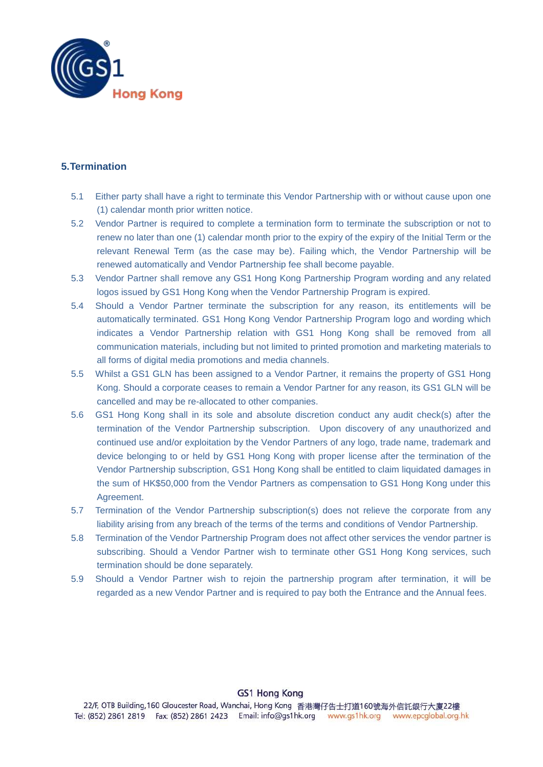

#### **5.Termination**

- 5.1 Either party shall have a right to terminate this Vendor Partnership with or without cause upon one (1) calendar month prior written notice.
- 5.2 Vendor Partner is required to complete a termination form to terminate the subscription or not to renew no later than one (1) calendar month prior to the expiry of the expiry of the Initial Term or the relevant Renewal Term (as the case may be). Failing which, the Vendor Partnership will be renewed automatically and Vendor Partnership fee shall become payable.
- 5.3 Vendor Partner shall remove any GS1 Hong Kong Partnership Program wording and any related logos issued by GS1 Hong Kong when the Vendor Partnership Program is expired.
- 5.4 Should a Vendor Partner terminate the subscription for any reason, its entitlements will be automatically terminated. GS1 Hong Kong Vendor Partnership Program logo and wording which indicates a Vendor Partnership relation with GS1 Hong Kong shall be removed from all communication materials, including but not limited to printed promotion and marketing materials to all forms of digital media promotions and media channels.
- 5.5 Whilst a GS1 GLN has been assigned to a Vendor Partner, it remains the property of GS1 Hong Kong. Should a corporate ceases to remain a Vendor Partner for any reason, its GS1 GLN will be cancelled and may be re-allocated to other companies.
- 5.6 GS1 Hong Kong shall in its sole and absolute discretion conduct any audit check(s) after the termination of the Vendor Partnership subscription. Upon discovery of any unauthorized and continued use and/or exploitation by the Vendor Partners of any logo, trade name, trademark and device belonging to or held by GS1 Hong Kong with proper license after the termination of the Vendor Partnership subscription, GS1 Hong Kong shall be entitled to claim liquidated damages in the sum of HK\$50,000 from the Vendor Partners as compensation to GS1 Hong Kong under this Agreement.
- 5.7 Termination of the Vendor Partnership subscription(s) does not relieve the corporate from any liability arising from any breach of the terms of the terms and conditions of Vendor Partnership.
- 5.8 Termination of the Vendor Partnership Program does not affect other services the vendor partner is subscribing. Should a Vendor Partner wish to terminate other GS1 Hong Kong services, such termination should be done separately.
- 5.9 Should a Vendor Partner wish to rejoin the partnership program after termination, it will be regarded as a new Vendor Partner and is required to pay both the Entrance and the Annual fees.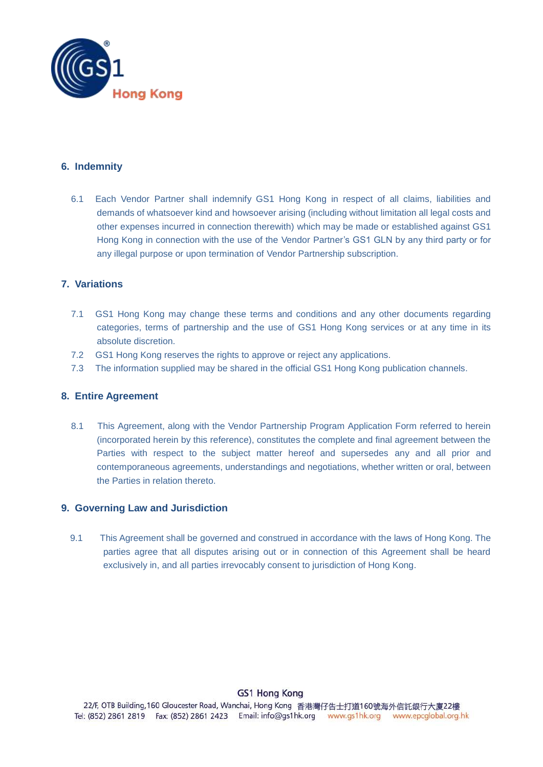

#### **6. Indemnity**

6.1 Each Vendor Partner shall indemnify GS1 Hong Kong in respect of all claims, liabilities and demands of whatsoever kind and howsoever arising (including without limitation all legal costs and other expenses incurred in connection therewith) which may be made or established against GS1 Hong Kong in connection with the use of the Vendor Partner's GS1 GLN by any third party or for any illegal purpose or upon termination of Vendor Partnership subscription.

#### **7. Variations**

- 7.1 GS1 Hong Kong may change these terms and conditions and any other documents regarding categories, terms of partnership and the use of GS1 Hong Kong services or at any time in its absolute discretion.
- 7.2 GS1 Hong Kong reserves the rights to approve or reject any applications.
- 7.3 The information supplied may be shared in the official GS1 Hong Kong publication channels.

#### **8. Entire Agreement**

8.1 This Agreement, along with the Vendor Partnership Program Application Form referred to herein (incorporated herein by this reference), constitutes the complete and final agreement between the Parties with respect to the subject matter hereof and supersedes any and all prior and contemporaneous agreements, understandings and negotiations, whether written or oral, between the Parties in relation thereto.

#### **9. Governing Law and Jurisdiction**

9.1 This Agreement shall be governed and construed in accordance with the laws of Hong Kong. The parties agree that all disputes arising out or in connection of this Agreement shall be heard exclusively in, and all parties irrevocably consent to jurisdiction of Hong Kong.